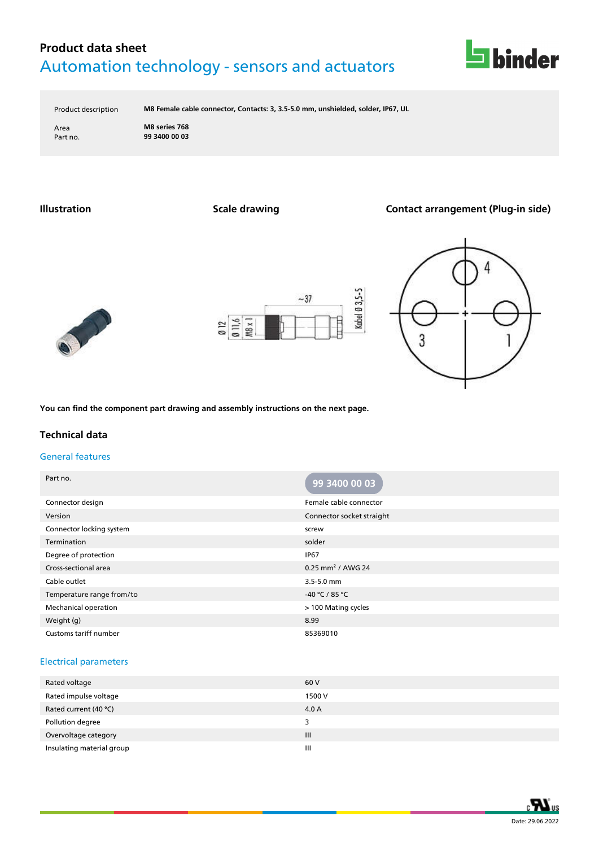

Product description **M8 Female cable connector, Contacts: 3, 3.5-5.0 mm, unshielded, solder, IP67, UL**

Area **M8 series 768** Part no. **99 3400 00 03**

**Illustration Scale drawing Contact arrangement (Plug-in side)**







**You can find the component part drawing and assembly instructions on the next page.**

### **Technical data**

#### General features

| Part no.                  | 99 3400 00 03                   |
|---------------------------|---------------------------------|
| Connector design          | Female cable connector          |
| Version                   | Connector socket straight       |
| Connector locking system  | screw                           |
| Termination               | solder                          |
| Degree of protection      | <b>IP67</b>                     |
| Cross-sectional area      | $0.25$ mm <sup>2</sup> / AWG 24 |
| Cable outlet              | 3.5-5.0 mm                      |
| Temperature range from/to | -40 °C / 85 °C                  |
| Mechanical operation      | > 100 Mating cycles             |
| Weight (g)                | 8.99                            |
| Customs tariff number     | 85369010                        |

#### Electrical parameters

| Rated voltage             | 60 V           |
|---------------------------|----------------|
| Rated impulse voltage     | 1500 V         |
| Rated current (40 °C)     | 4.0 A          |
| Pollution degree          | 3              |
| Overvoltage category      | III            |
| Insulating material group | $\mathbf{III}$ |
|                           |                |

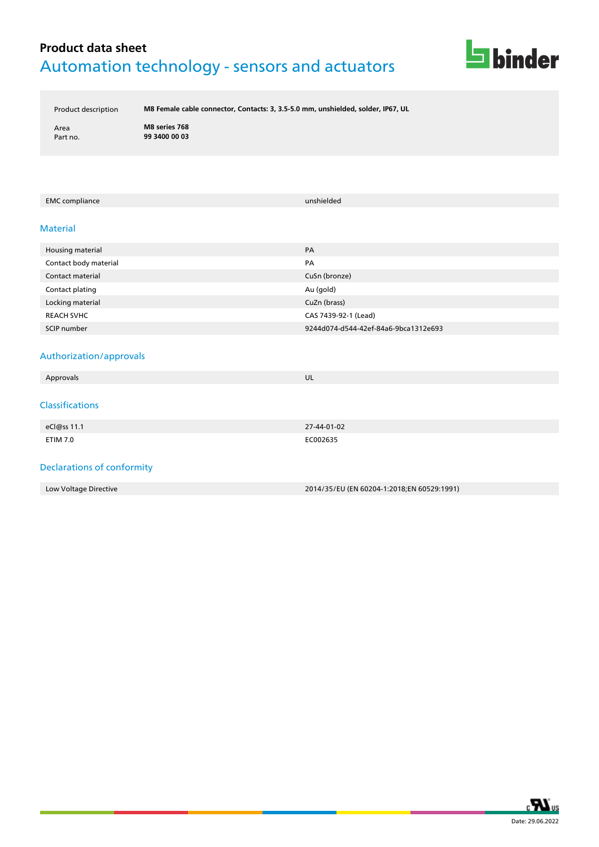

Product description **M8 Female cable connector, Contacts: 3, 3.5-5.0 mm, unshielded, solder, IP67, UL**

Area **M8 series 768** Part no. **99 3400 00 03**

#### EMC compliance unshielded

#### Material

| Housing material      | PA                                   |
|-----------------------|--------------------------------------|
| Contact body material | PA                                   |
| Contact material      | CuSn (bronze)                        |
| Contact plating       | Au (gold)                            |
| Locking material      | CuZn (brass)                         |
| <b>REACH SVHC</b>     | CAS 7439-92-1 (Lead)                 |
| SCIP number           | 9244d074-d544-42ef-84a6-9bca1312e693 |

### Authorization/approvals

| Approvals                         | UL          |
|-----------------------------------|-------------|
|                                   |             |
| <b>Classifications</b>            |             |
|                                   |             |
| eCl@ss 11.1                       | 27-44-01-02 |
| <b>ETIM 7.0</b>                   | EC002635    |
|                                   |             |
| <b>Declarations of conformity</b> |             |

| Low Voltage Directive | 2014/35/EU (EN 60204-1:2018;EN 60529:1991) |
|-----------------------|--------------------------------------------|

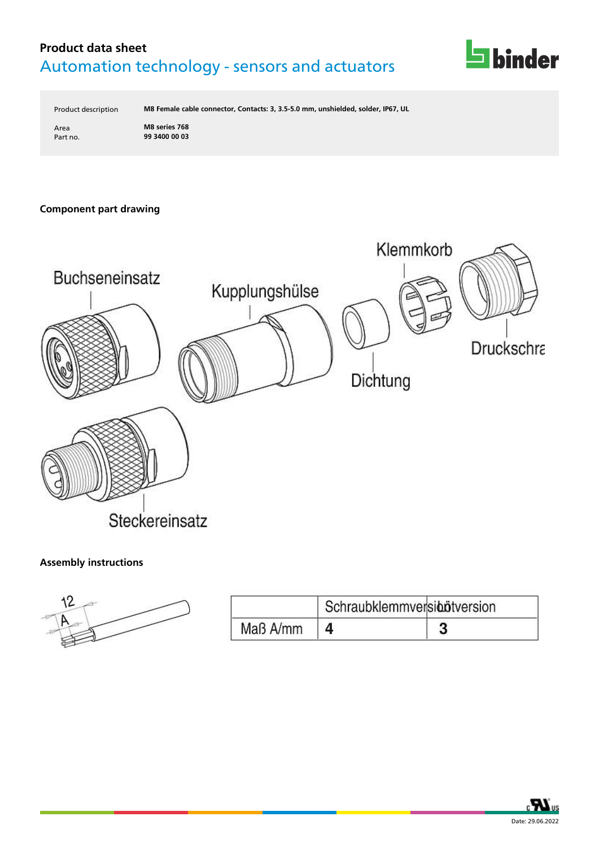

Product description **M8 Female cable connector, Contacts: 3, 3.5-5.0 mm, unshielded, solder, IP67, UL**

Area **M8 series 768** Part no. **99 3400 00 03**

### **Component part drawing**



### **Assembly instructions**

| 12 |  |
|----|--|
| ÷  |  |
|    |  |

|          | Schraubklemmversibötversion |  |
|----------|-----------------------------|--|
| Maß A/mm |                             |  |